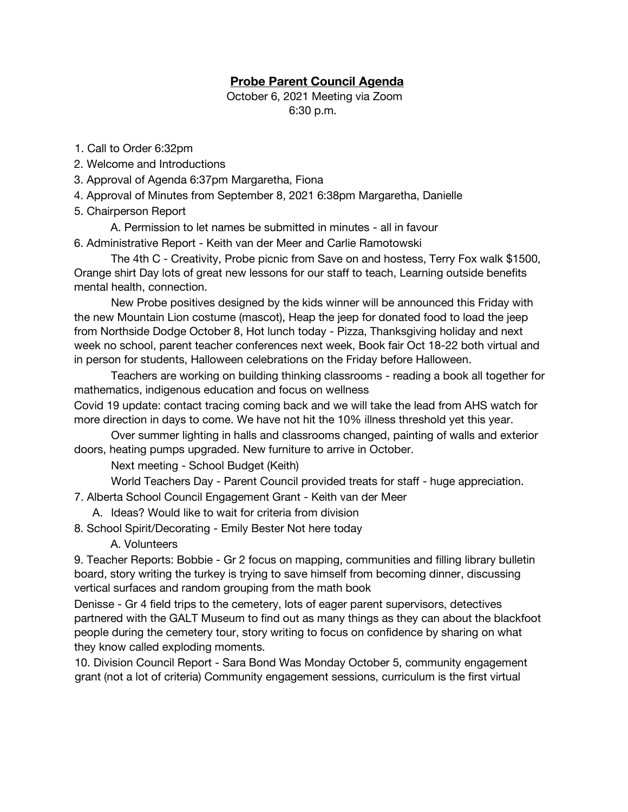## **Probe Parent Council Agenda**

 October 6, 2021 Meeting via Zoom 6:30 p.m.

- 1. Call to Order 6:32pm
- 2. Welcome and Introductions
- 3. Approval of Agenda 6:37pm Margaretha, Fiona
- 4. Approval of Minutes from September 8, 2021 6:38pm Margaretha, Danielle
- 5. Chairperson Report
	- A. Permission to let names be submitted in minutes all in favour
- 6. Administrative Report Keith van der Meer and Carlie Ramotowski

The 4th C - Creativity, Probe picnic from Save on and hostess, Terry Fox walk \$1500, Orange shirt Day lots of great new lessons for our staff to teach, Learning outside benefits mental health, connection.

New Probe positives designed by the kids winner will be announced this Friday with the new Mountain Lion costume (mascot), Heap the jeep for donated food to load the jeep from Northside Dodge October 8, Hot lunch today - Pizza, Thanksgiving holiday and next week no school, parent teacher conferences next week, Book fair Oct 18-22 both virtual and in person for students, Halloween celebrations on the Friday before Halloween.

Teachers are working on building thinking classrooms - reading a book all together for mathematics, indigenous education and focus on wellness

Covid 19 update: contact tracing coming back and we will take the lead from AHS watch for more direction in days to come. We have not hit the 10% illness threshold yet this year.

Over summer lighting in halls and classrooms changed, painting of walls and exterior doors, heating pumps upgraded. New furniture to arrive in October.

Next meeting - School Budget (Keith)

World Teachers Day - Parent Council provided treats for staff - huge appreciation.

7. Alberta School Council Engagement Grant - Keith van der Meer

A. Ideas? Would like to wait for criteria from division

8. School Spirit/Decorating - Emily Bester Not here today

A. Volunteers

9. Teacher Reports: Bobbie - Gr 2 focus on mapping, communities and filling library bulletin board, story writing the turkey is trying to save himself from becoming dinner, discussing vertical surfaces and random grouping from the math book

Denisse - Gr 4 field trips to the cemetery, lots of eager parent supervisors, detectives partnered with the GALT Museum to find out as many things as they can about the blackfoot people during the cemetery tour, story writing to focus on confidence by sharing on what they know called exploding moments.

10. Division Council Report - Sara Bond Was Monday October 5, community engagement grant (not a lot of criteria) Community engagement sessions, curriculum is the first virtual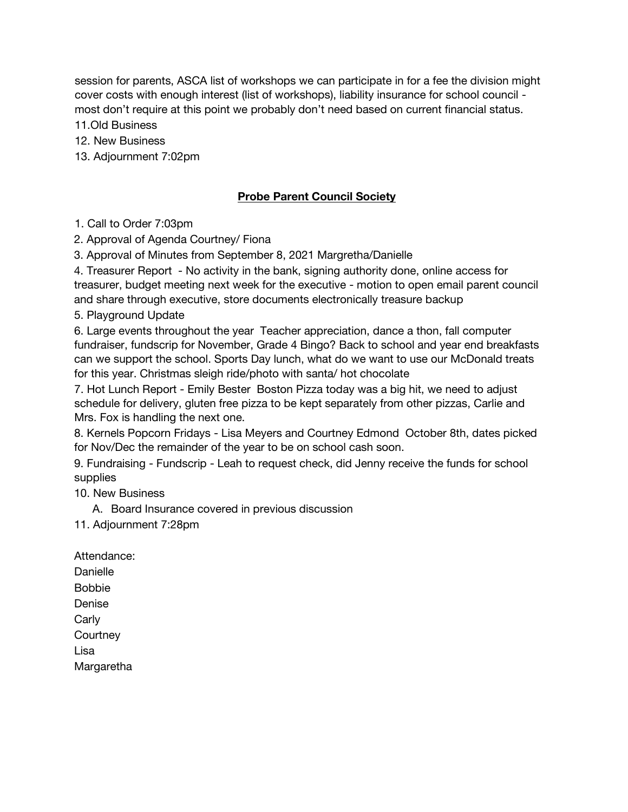session for parents, ASCA list of workshops we can participate in for a fee the division might cover costs with enough interest (list of workshops), liability insurance for school council most don't require at this point we probably don't need based on current financial status.

11.Old Business

12. New Business

13. Adjournment 7:02pm

## **Probe Parent Council Society**

1. Call to Order 7:03pm

2. Approval of Agenda Courtney/ Fiona

3. Approval of Minutes from September 8, 2021 Margretha/Danielle

4. Treasurer Report - No activity in the bank, signing authority done, online access for treasurer, budget meeting next week for the executive - motion to open email parent council and share through executive, store documents electronically treasure backup

5. Playground Update

6. Large events throughout the year Teacher appreciation, dance a thon, fall computer fundraiser, fundscrip for November, Grade 4 Bingo? Back to school and year end breakfasts can we support the school. Sports Day lunch, what do we want to use our McDonald treats for this year. Christmas sleigh ride/photo with santa/ hot chocolate

7. Hot Lunch Report - Emily Bester Boston Pizza today was a big hit, we need to adjust schedule for delivery, gluten free pizza to be kept separately from other pizzas, Carlie and Mrs. Fox is handling the next one.

8. Kernels Popcorn Fridays - Lisa Meyers and Courtney Edmond October 8th, dates picked for Nov/Dec the remainder of the year to be on school cash soon.

9. Fundraising - Fundscrip - Leah to request check, did Jenny receive the funds for school supplies

10. New Business

A. Board Insurance covered in previous discussion

11. Adjournment 7:28pm

Attendance: Danielle Bobbie Denise **Carly Courtney** Lisa Margaretha